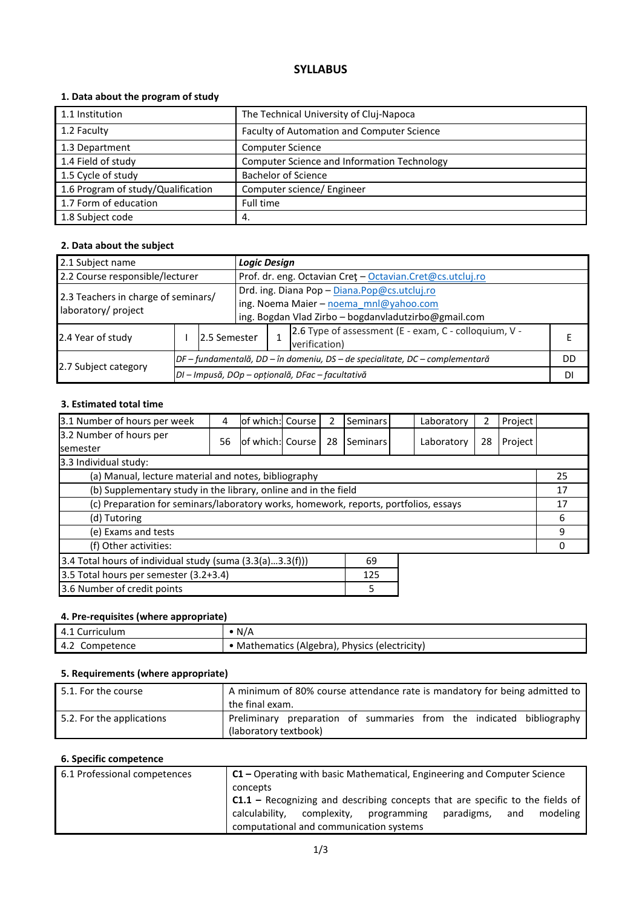# **SYLLABUS**

# **1. Data about the program of study**

| 1.1 Institution                    | The Technical University of Cluj-Napoca     |
|------------------------------------|---------------------------------------------|
| 1.2 Faculty                        | Faculty of Automation and Computer Science  |
| 1.3 Department                     | <b>Computer Science</b>                     |
| 1.4 Field of study                 | Computer Science and Information Technology |
| 1.5 Cycle of study                 | <b>Bachelor of Science</b>                  |
| 1.6 Program of study/Qualification | Computer science/ Engineer                  |
| 1.7 Form of education              | Full time                                   |
| 1.8 Subject code                   | 4.                                          |

## **2. Data about the subject**

| 2.1 Subject name                                           |                                                                              |               |                                                                                                                                                | <b>Logic Design</b> |    |  |
|------------------------------------------------------------|------------------------------------------------------------------------------|---------------|------------------------------------------------------------------------------------------------------------------------------------------------|---------------------|----|--|
| 2.2 Course responsible/lecturer                            |                                                                              |               | Prof. dr. eng. Octavian Cret - Octavian.Cret@cs.utcluj.ro                                                                                      |                     |    |  |
| 2.3 Teachers in charge of seminars/<br>laboratory/ project |                                                                              |               | Drd. ing. Diana Pop - Diana.Pop@cs.utcluj.ro<br>ing. Noema Maier - noema mnl@yahoo.com<br>ing. Bogdan Vlad Zirbo - bogdanvladutzirbo@gmail.com |                     |    |  |
| 2.4 Year of study                                          |                                                                              | 12.5 Semester | 2.6 Type of assessment (E - exam, C - colloquium, V -<br>verification)                                                                         |                     |    |  |
|                                                            | DF – fundamentală, DD – în domeniu, DS – de specialitate, DC – complementară |               |                                                                                                                                                | DD                  |    |  |
| 2.7 Subject category                                       |                                                                              |               | DI - Impusă, DOp - opțională, DFac - facultativă                                                                                               |                     | DI |  |

## **3. Estimated total time**

| 3.1 Number of hours per week                                                         | 4  | of which: Course |  | 2  | Seminars | Laboratory | 2  | Project |    |
|--------------------------------------------------------------------------------------|----|------------------|--|----|----------|------------|----|---------|----|
| 3.2 Number of hours per<br><b>semester</b>                                           | 56 | of which: Course |  | 28 | Seminars | Laboratory | 28 | Project |    |
| 3.3 Individual study:                                                                |    |                  |  |    |          |            |    |         |    |
| (a) Manual, lecture material and notes, bibliography                                 |    |                  |  |    |          |            |    |         | 25 |
| (b) Supplementary study in the library, online and in the field                      |    |                  |  |    |          |            |    |         | 17 |
| (c) Preparation for seminars/laboratory works, homework, reports, portfolios, essays |    |                  |  |    | 17       |            |    |         |    |
| (d) Tutoring                                                                         |    |                  |  |    |          | 6          |    |         |    |
| (e) Exams and tests                                                                  |    |                  |  |    |          | 9          |    |         |    |
| (f) Other activities:                                                                |    |                  |  |    |          | Ω          |    |         |    |
| 3.4 Total hours of individual study (suma (3.3(a)3.3(f)))<br>69                      |    |                  |  |    |          |            |    |         |    |
| 3.5 Total hours per semester (3.2+3.4)<br>125                                        |    |                  |  |    |          |            |    |         |    |
| 3.6 Number of credit points<br>5                                                     |    |                  |  |    |          |            |    |         |    |

### **4. Pre-requisites (where appropriate)**

| 4.1 Curriculum    | N/A                                          |
|-------------------|----------------------------------------------|
| Competence<br>4.2 | Mathematics (Algebra), Physics (electricity) |

## **5. Requirements (where appropriate)**

| 5.1. For the course       | A minimum of 80% course attendance rate is mandatory for being admitted to<br>the final exam. |  |  |  |  |  |
|---------------------------|-----------------------------------------------------------------------------------------------|--|--|--|--|--|
| 5.2. For the applications | Preliminary preparation of summaries from the indicated bibliography<br>(laboratory textbook) |  |  |  |  |  |

# **6. Specific competence**

| 6.1 Professional competences | $C1$ – Operating with basic Mathematical, Engineering and Computer Science           |  |  |  |  |  |  |
|------------------------------|--------------------------------------------------------------------------------------|--|--|--|--|--|--|
|                              | concepts                                                                             |  |  |  |  |  |  |
|                              | <b>C1.1</b> – Recognizing and describing concepts that are specific to the fields of |  |  |  |  |  |  |
|                              | complexity, programming<br>calculability.<br>paradigms,<br>modeling<br>and           |  |  |  |  |  |  |
|                              | computational and communication systems                                              |  |  |  |  |  |  |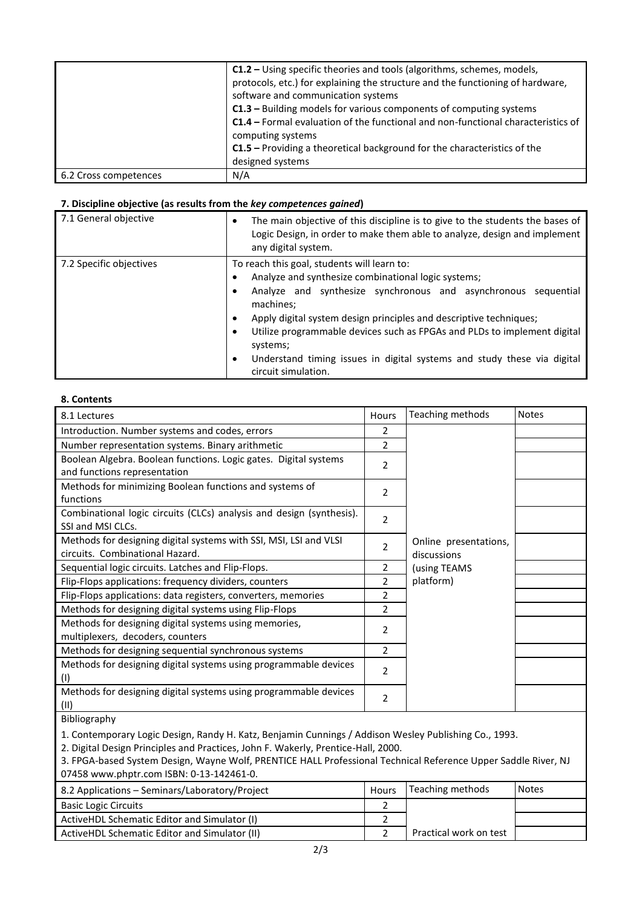|                       | C1.2 – Using specific theories and tools (algorithms, schemes, models,<br>protocols, etc.) for explaining the structure and the functioning of hardware,<br>software and communication systems<br>C1.3 - Building models for various components of computing systems<br><b>C1.4</b> – Formal evaluation of the functional and non-functional characteristics of<br>computing systems<br>C1.5 - Providing a theoretical background for the characteristics of the<br>designed systems |
|-----------------------|--------------------------------------------------------------------------------------------------------------------------------------------------------------------------------------------------------------------------------------------------------------------------------------------------------------------------------------------------------------------------------------------------------------------------------------------------------------------------------------|
| 6.2 Cross competences | N/A                                                                                                                                                                                                                                                                                                                                                                                                                                                                                  |

### **7. Discipline objective (as results from the** *key competences gained***)**

| 7.1 General objective   | The main objective of this discipline is to give to the students the bases of<br>٠<br>Logic Design, in order to make them able to analyze, design and implement<br>any digital system.                                                                                                                                                                                                                                                                           |  |  |  |
|-------------------------|------------------------------------------------------------------------------------------------------------------------------------------------------------------------------------------------------------------------------------------------------------------------------------------------------------------------------------------------------------------------------------------------------------------------------------------------------------------|--|--|--|
| 7.2 Specific objectives | To reach this goal, students will learn to:<br>Analyze and synthesize combinational logic systems;<br>Analyze and synthesize synchronous and asynchronous sequential<br>machines;<br>Apply digital system design principles and descriptive techniques;<br>٠<br>Utilize programmable devices such as FPGAs and PLDs to implement digital<br>٠<br>systems;<br>Understand timing issues in digital systems and study these via digital<br>٠<br>circuit simulation. |  |  |  |

#### **8. Contents**

| 8.1 Lectures                                                         | Hours                    | Teaching methods      | <b>Notes</b> |
|----------------------------------------------------------------------|--------------------------|-----------------------|--------------|
| Introduction. Number systems and codes, errors                       | 2                        |                       |              |
| Number representation systems. Binary arithmetic                     | $\overline{2}$           |                       |              |
| Boolean Algebra. Boolean functions. Logic gates. Digital systems     | 2                        |                       |              |
| and functions representation                                         |                          |                       |              |
| Methods for minimizing Boolean functions and systems of              | 2                        |                       |              |
| functions                                                            |                          |                       |              |
| Combinational logic circuits (CLCs) analysis and design (synthesis). | $\overline{2}$           |                       |              |
| SSI and MSI CLCs.                                                    |                          |                       |              |
| Methods for designing digital systems with SSI, MSI, LSI and VLSI    | 2                        | Online presentations, |              |
| circuits. Combinational Hazard.                                      |                          | discussions           |              |
| Sequential logic circuits. Latches and Flip-Flops.                   | 2                        | (using TEAMS          |              |
| Flip-Flops applications: frequency dividers, counters                | 2                        | platform)             |              |
| Flip-Flops applications: data registers, converters, memories        | 2                        |                       |              |
| Methods for designing digital systems using Flip-Flops               | 2                        |                       |              |
| Methods for designing digital systems using memories,                | 2                        |                       |              |
| multiplexers, decoders, counters                                     |                          |                       |              |
| Methods for designing sequential synchronous systems                 | 2                        |                       |              |
| Methods for designing digital systems using programmable devices     |                          |                       |              |
| (1)                                                                  | 2                        |                       |              |
| Methods for designing digital systems using programmable devices     | $\overline{\phantom{a}}$ |                       |              |
| (II)                                                                 |                          |                       |              |

### Bibliography

1. Contemporary Logic Design, Randy H. Katz, Benjamin Cunnings / Addison Wesley Publishing Co., 1993.

2. Digital Design Principles and Practices, John F. Wakerly, Prentice-Hall, 2000.

3. FPGA-based System Design, Wayne Wolf, PRENTICE HALL Professional Technical Reference Upper Saddle River, NJ 07458 www.phptr.com ISBN: 0-13-142461-0.

| 8.2 Applications - Seminars/Laboratory/Project | <b>Hours</b> | Teaching methods       | <b>Notes</b> |
|------------------------------------------------|--------------|------------------------|--------------|
| <b>Basic Logic Circuits</b>                    |              |                        |              |
| ActiveHDL Schematic Editor and Simulator (I)   |              |                        |              |
| ActiveHDL Schematic Editor and Simulator (II)  |              | Practical work on test |              |